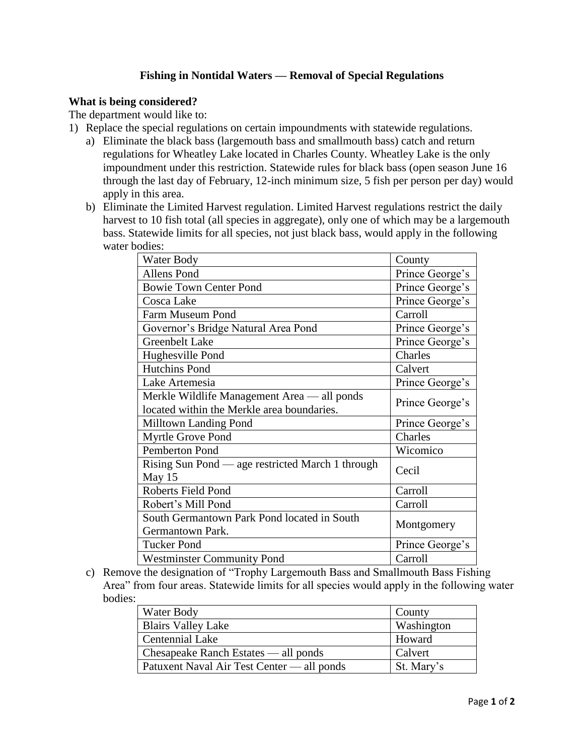# **Fishing in Nontidal Waters — Removal of Special Regulations**

### **What is being considered?**

The department would like to:

- 1) Replace the special regulations on certain impoundments with statewide regulations.
	- a) Eliminate the black bass (largemouth bass and smallmouth bass) catch and return regulations for Wheatley Lake located in Charles County. Wheatley Lake is the only impoundment under this restriction. Statewide rules for black bass (open season June 16 through the last day of February, 12-inch minimum size, 5 fish per person per day) would apply in this area.
	- b) Eliminate the Limited Harvest regulation. Limited Harvest regulations restrict the daily harvest to 10 fish total (all species in aggregate), only one of which may be a largemouth bass. Statewide limits for all species, not just black bass, would apply in the following water bodies:

| Water Body                                       | County          |
|--------------------------------------------------|-----------------|
| <b>Allens Pond</b>                               | Prince George's |
| <b>Bowie Town Center Pond</b>                    | Prince George's |
| Cosca Lake                                       | Prince George's |
| Farm Museum Pond                                 | Carroll         |
| Governor's Bridge Natural Area Pond              | Prince George's |
| <b>Greenbelt Lake</b>                            | Prince George's |
| Hughesville Pond                                 | Charles         |
| <b>Hutchins Pond</b>                             | Calvert         |
| Lake Artemesia                                   | Prince George's |
| Merkle Wildlife Management Area - all ponds      | Prince George's |
| located within the Merkle area boundaries.       |                 |
| <b>Milltown Landing Pond</b>                     | Prince George's |
| Myrtle Grove Pond                                | Charles         |
| Pemberton Pond                                   | Wicomico        |
| Rising Sun Pond — age restricted March 1 through | Cecil           |
| May 15                                           |                 |
| Roberts Field Pond                               | Carroll         |
| Robert's Mill Pond                               | Carroll         |
| South Germantown Park Pond located in South      | Montgomery      |
| Germantown Park.                                 |                 |
| <b>Tucker Pond</b>                               | Prince George's |
| <b>Westminster Community Pond</b>                | Carroll         |

c) Remove the designation of "Trophy Largemouth Bass and Smallmouth Bass Fishing Area" from four areas. Statewide limits for all species would apply in the following water bodies:

| Water Body                                 | County     |
|--------------------------------------------|------------|
| <b>Blairs Valley Lake</b>                  | Washington |
| <b>Centennial Lake</b>                     | Howard     |
| Chesapeake Ranch Estates — all ponds       | Calvert    |
| Patuxent Naval Air Test Center — all ponds | St. Mary's |